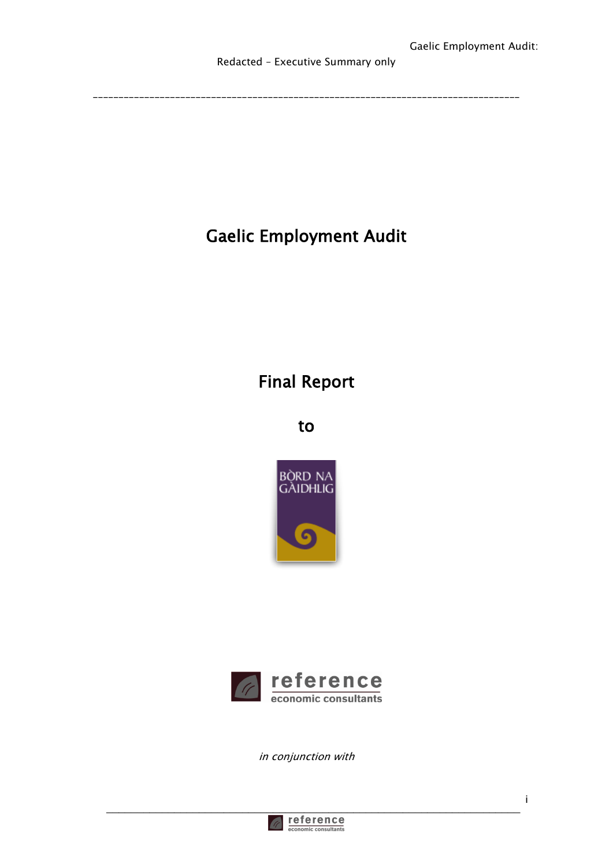# Gaelic Employment Audit

### Final Report

to





in conjunction with

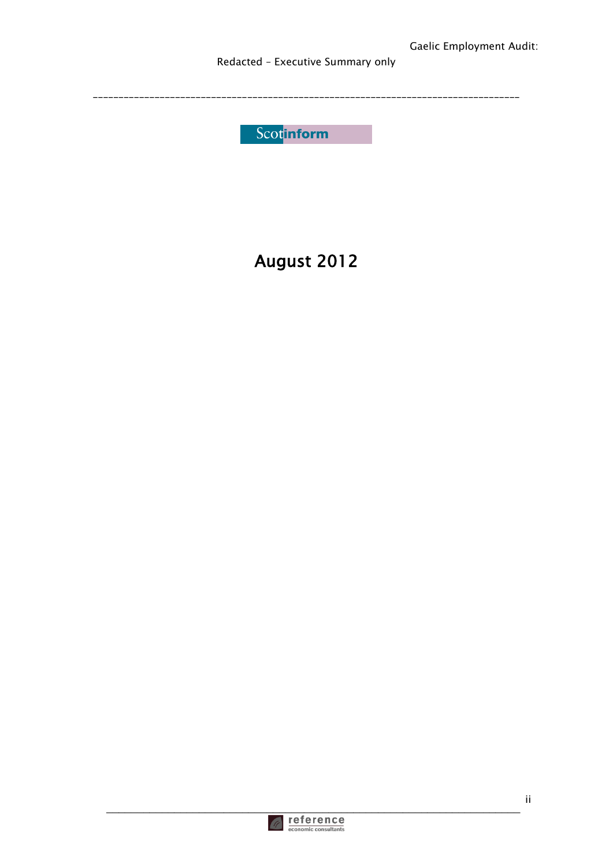Redacted - Executive Summary only

Scotinform

## August 2012

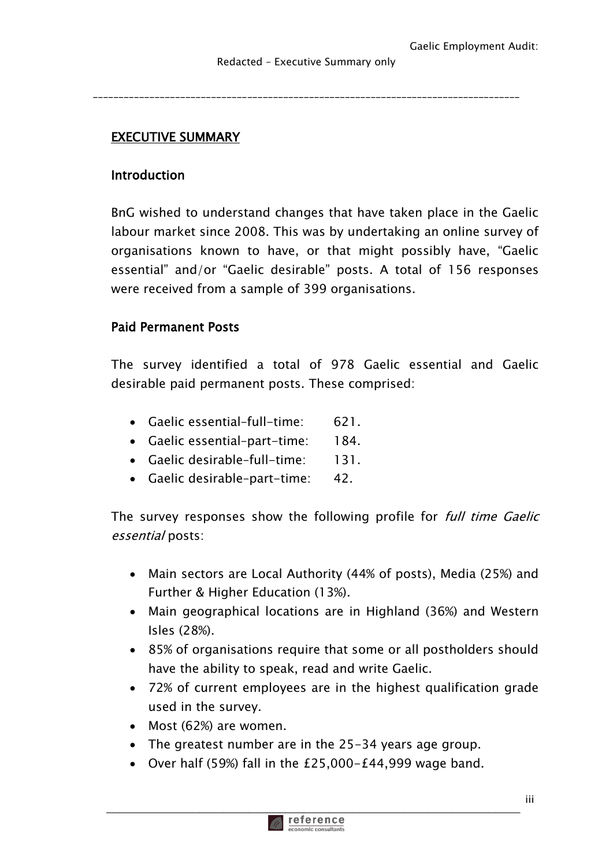### EXECUTIVE SUMMARY

#### Introduction

BnG wished to understand changes that have taken place in the Gaelic labour market since 2008. This was by undertaking an online survey of organisations known to have, or that might possibly have, "Gaelic essential" and/or "Gaelic desirable" posts. A total of 156 responses were received from a sample of 399 organisations.

#### Paid Permanent Posts

The survey identified a total of 978 Gaelic essential and Gaelic desirable paid permanent posts. These comprised:

- Gaelic essential–full-time: 621.
- Gaelic essential–part-time: 184.
- Gaelic desirable–full-time: 131.
- Gaelic desirable–part-time: 42.

The survey responses show the following profile for full time Gaelic essential posts:

- Main sectors are Local Authority (44% of posts), Media (25%) and Further & Higher Education (13%).
- Main geographical locations are in Highland (36%) and Western Isles (28%).
- 85% of organisations require that some or all postholders should have the ability to speak, read and write Gaelic.
- 72% of current employees are in the highest qualification grade used in the survey.
- Most (62%) are women.
- The greatest number are in the 25-34 years age group.
- Over half (59%) fall in the £25,000-£44,999 wage band.

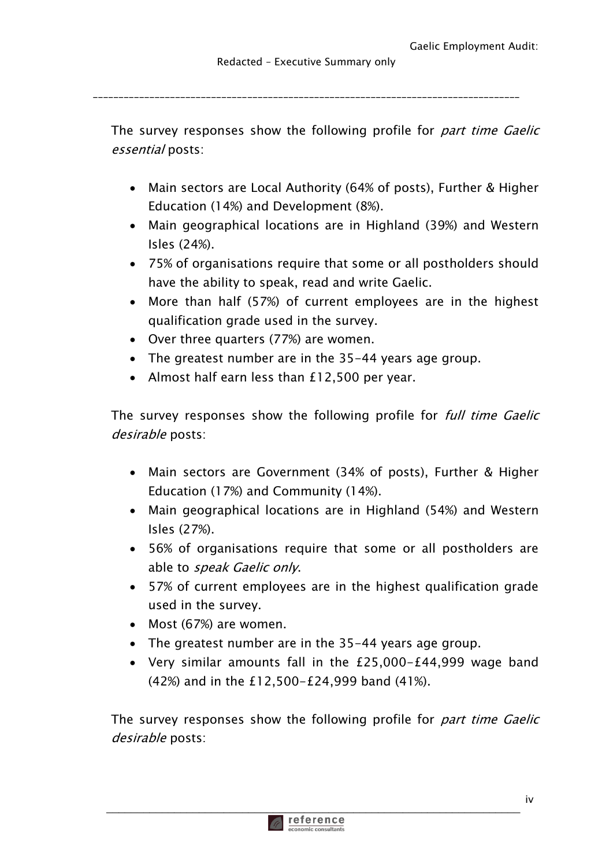The survey responses show the following profile for *part time Gaelic* essential posts:

- Main sectors are Local Authority (64% of posts), Further & Higher Education (14%) and Development (8%).
- Main geographical locations are in Highland (39%) and Western Isles (24%).
- 75% of organisations require that some or all postholders should have the ability to speak, read and write Gaelic.
- More than half (57%) of current employees are in the highest qualification grade used in the survey.
- Over three quarters (77%) are women.
- The greatest number are in the 35-44 years age group.
- Almost half earn less than £12,500 per year.

The survey responses show the following profile for full time Gaelic desirable posts:

- Main sectors are Government (34% of posts), Further & Higher Education (17%) and Community (14%).
- Main geographical locations are in Highland (54%) and Western Isles (27%).
- 56% of organisations require that some or all postholders are able to speak Gaelic only.
- 57% of current employees are in the highest qualification grade used in the survey.
- Most (67%) are women.
- The greatest number are in the 35-44 years age group.
- Very similar amounts fall in the £25,000-£44,999 wage band (42%) and in the £12,500-£24,999 band (41%).

The survey responses show the following profile for *part time Gaelic* desirable posts:

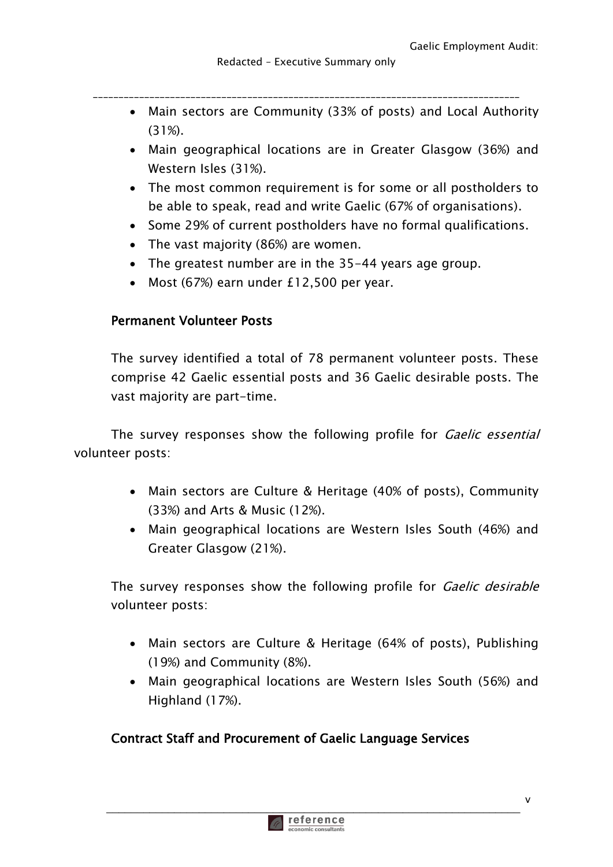- \_\_\_\_\_\_\_\_\_\_\_\_\_\_\_\_\_\_\_\_\_\_\_\_\_\_\_\_\_\_\_\_\_\_\_\_\_\_\_\_\_\_\_\_\_\_\_\_\_\_\_\_\_\_\_\_\_\_\_\_\_\_\_\_\_\_\_\_\_\_\_\_\_\_\_\_\_\_\_\_\_\_\_ Main sectors are Community (33% of posts) and Local Authority
	- (31%).
	- Main geographical locations are in Greater Glasgow (36%) and Western Isles (31%).
	- The most common requirement is for some or all postholders to be able to speak, read and write Gaelic (67% of organisations).
	- Some 29% of current postholders have no formal qualifications.
	- The vast majority (86%) are women.
	- The greatest number are in the 35-44 years age group.
	- Most (67%) earn under £12,500 per year.

#### Permanent Volunteer Posts

The survey identified a total of 78 permanent volunteer posts. These comprise 42 Gaelic essential posts and 36 Gaelic desirable posts. The vast majority are part-time.

The survey responses show the following profile for *Gaelic essential* volunteer posts:

- Main sectors are Culture & Heritage (40% of posts), Community (33%) and Arts & Music (12%).
- Main geographical locations are Western Isles South (46%) and Greater Glasgow (21%).

The survey responses show the following profile for *Gaelic desirable* volunteer posts:

- Main sectors are Culture & Heritage (64% of posts), Publishing (19%) and Community (8%).
- Main geographical locations are Western Isles South (56%) and Highland (17%).

#### Contract Staff and Procurement of Gaelic Language Services

\_\_\_\_\_\_\_\_\_\_\_\_\_\_\_\_\_\_\_\_\_\_\_\_\_\_\_\_\_\_\_\_\_\_\_\_\_\_\_\_\_\_\_\_\_\_\_\_\_\_\_\_\_\_\_\_\_\_\_\_\_\_\_\_\_\_\_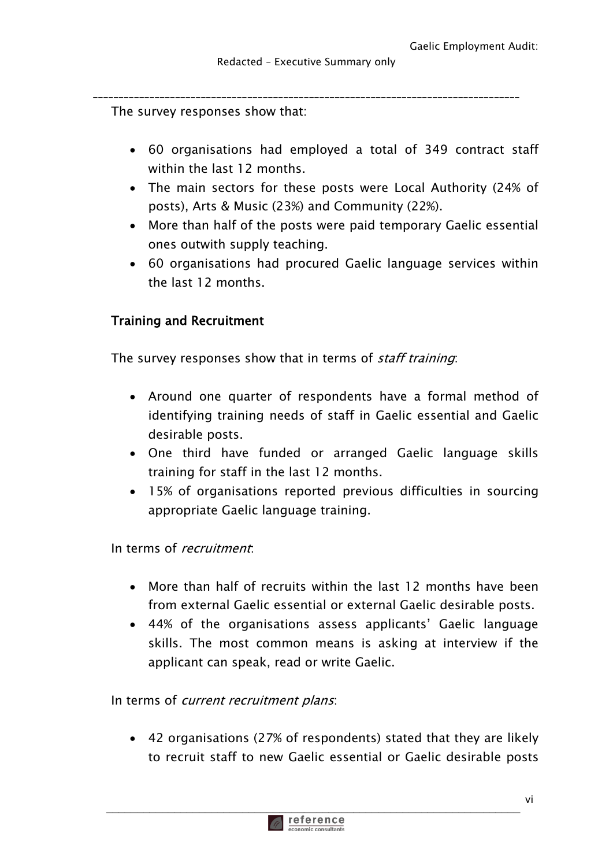The survey responses show that:

- 60 organisations had employed a total of 349 contract staff within the last 12 months.
- The main sectors for these posts were Local Authority (24% of posts), Arts & Music (23%) and Community (22%).
- More than half of the posts were paid temporary Gaelic essential ones outwith supply teaching.
- 60 organisations had procured Gaelic language services within the last 12 months.

#### Training and Recruitment

The survey responses show that in terms of staff training:

- Around one quarter of respondents have a formal method of identifying training needs of staff in Gaelic essential and Gaelic desirable posts.
- One third have funded or arranged Gaelic language skills training for staff in the last 12 months.
- 15% of organisations reported previous difficulties in sourcing appropriate Gaelic language training.

In terms of recruitment:

- More than half of recruits within the last 12 months have been from external Gaelic essential or external Gaelic desirable posts.
- 44% of the organisations assess applicants' Gaelic language skills. The most common means is asking at interview if the applicant can speak, read or write Gaelic.

In terms of *current recruitment plans*:

 42 organisations (27% of respondents) stated that they are likely to recruit staff to new Gaelic essential or Gaelic desirable posts

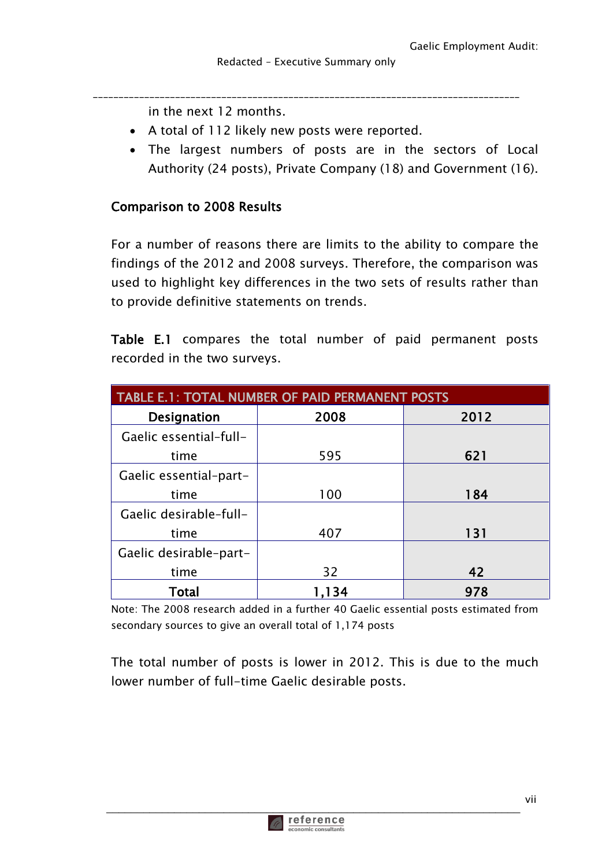in the next 12 months.

- A total of 112 likely new posts were reported.
- The largest numbers of posts are in the sectors of Local Authority (24 posts), Private Company (18) and Government (16).

#### Comparison to 2008 Results

For a number of reasons there are limits to the ability to compare the findings of the 2012 and 2008 surveys. Therefore, the comparison was used to highlight key differences in the two sets of results rather than to provide definitive statements on trends.

Table E.1 compares the total number of paid permanent posts recorded in the two surveys.

| <b>TABLE E.1: TOTAL NUMBER OF PAID PERMANENT POSTS</b> |       |      |
|--------------------------------------------------------|-------|------|
| Designation                                            | 2008  | 2012 |
| Gaelic essential-full-                                 |       |      |
| time                                                   | 595   | 621  |
| Gaelic essential-part-                                 |       |      |
| time                                                   | 100   | 184  |
| Gaelic desirable-full-                                 |       |      |
| time                                                   | 407   | 131  |
| Gaelic desirable-part-                                 |       |      |
| time                                                   | 32    | 42   |
| Total                                                  | 1.134 | 978  |

Note: The 2008 research added in a further 40 Gaelic essential posts estimated from secondary sources to give an overall total of 1,174 posts

The total number of posts is lower in 2012. This is due to the much lower number of full-time Gaelic desirable posts.